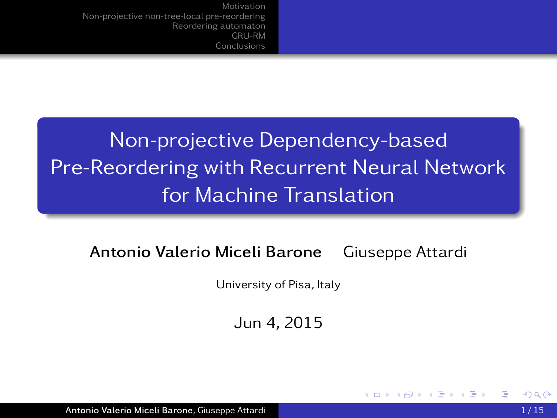# Non-projective Dependency-based Pre-Reordering with Recurrent Neural Network for Machine Translation

### Antonio Valerio Miceli Barone Giuseppe Attardi

University of Pisa, Italy

Jun 4, 2015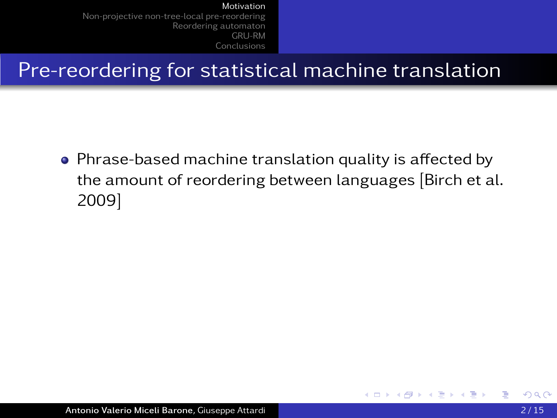## Pre-reordering for statistical machine translation

<span id="page-1-0"></span>• Phrase-based machine translation quality is affected by the amount of reordering between languages [Birch et al. 2009]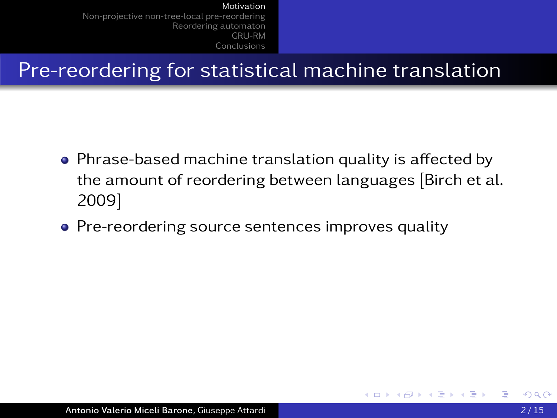Pre-reordering for statistical machine translation

- Phrase-based machine translation quality is affected by the amount of reordering between languages [Birch et al. 2009]
- Pre-reordering source sentences improves quality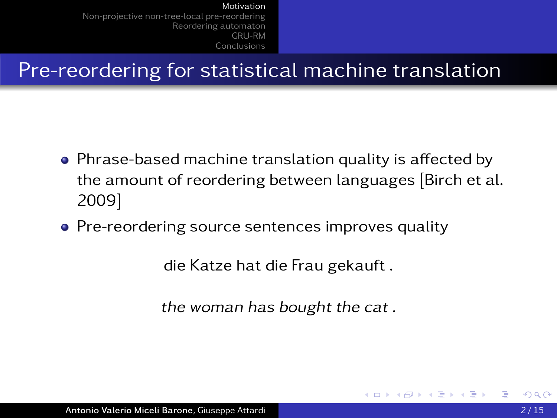Pre-reordering for statistical machine translation

- Phrase-based machine translation quality is affected by the amount of reordering between languages [Birch et al. 2009]
- Pre-reordering source sentences improves quality

die Katze hat die Frau gekauft .

the woman has bought the cat .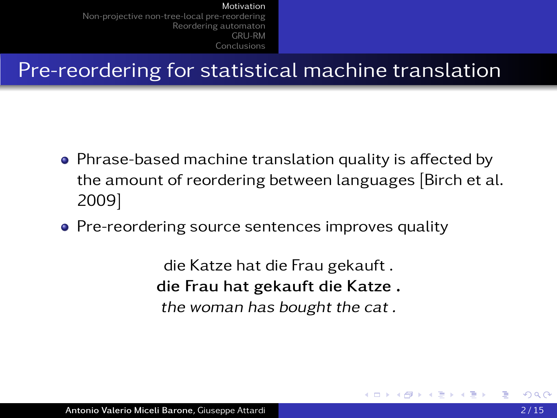Pre-reordering for statistical machine translation

- Phrase-based machine translation quality is affected by the amount of reordering between languages [Birch et al. 2009]
- Pre-reordering source sentences improves quality

die Katze hat die Frau gekauft . die Frau hat gekauft die Katze . the woman has bought the cat .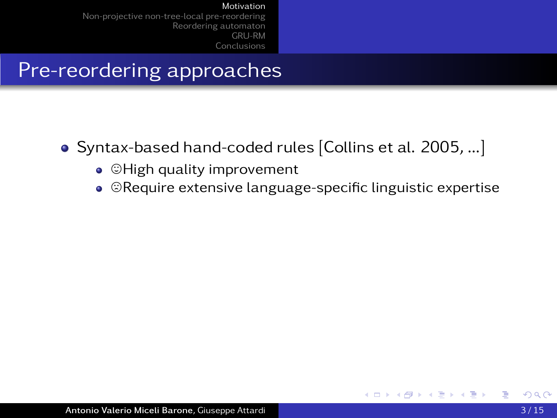### Pre-reordering approaches

- Syntax-based hand-coded rules [Collins et al. 2005, ...]
	- $\bullet$   $\heartsuit$  High quality improvement
	- $\bullet$   $\heartsuit$ Require extensive language-specific linguistic expertise

4 0 5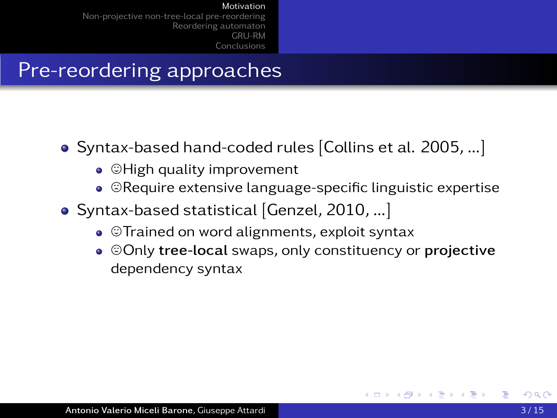## Pre-reordering approaches

- Syntax-based hand-coded rules [Collins et al. 2005, ...]
	- $\bullet$   $\heartsuit$  High quality improvement
	- $\bullet$   $\heartsuit$ Require extensive language-specific linguistic expertise
- Syntax-based statistical [Genzel, 2010, ...]
	- $\bullet$   $\heartsuit$ Trained on word alignments, exploit syntax
	- $\bullet$   $\odot$  Only tree-local swaps, only constituency or projective dependency syntax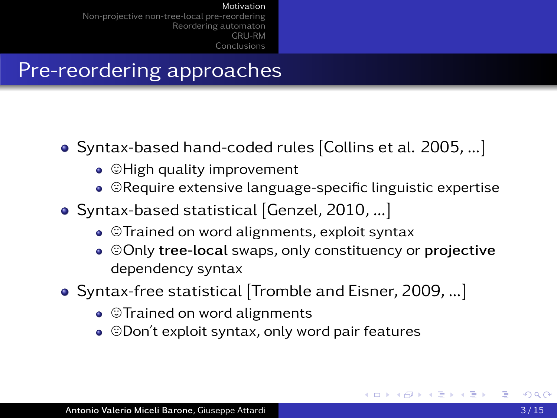## Pre-reordering approaches

- Syntax-based hand-coded rules [Collins et al. 2005, ...]
	- $\bullet$   $\heartsuit$  High quality improvement
	- $\bullet$   $\heartsuit$ Require extensive language-specific linguistic expertise
- Syntax-based statistical [Genzel, 2010, ...]
	- $\bullet$   $\circ$ Trained on word alignments, exploit syntax
	- $\odot$   $\odot$  Only tree-local swaps, only constituency or projective dependency syntax
- Syntax-free statistical [Tromble and Eisner, 2009, ...]
	- $\bullet$   $\heartsuit$ Trained on word alignments
	- $\bullet$   $\odot$  Don't exploit syntax, only word pair features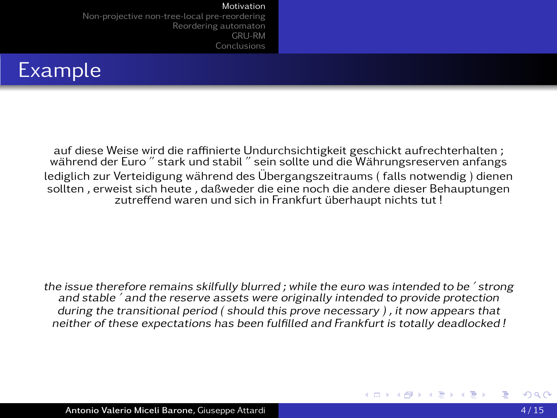[Non-projective non-tree-local pre-reordering](#page-19-0) [Reordering automaton](#page-34-0) [GRU-RM](#page-65-0) [Conclusions](#page-72-0)



auf diese Weise wird die raffinierte Undurchsichtigkeit geschickt aufrechterhalten ; wahrend der Euro " stark und stabil " sein sollte und die Währungsreserven anfangs während der Euro " stark und stabil " sein sollte und die Währungsreserven anfangs lediglich zur Verteidigung während des Übergangszeitraums (falls notwendig) dienen sollten , erweist sich heute , daßweder die eine noch die andere dieser Behauptungen zutreffend waren und sich in Frankfurt überhaupt nichts tut !

the issue therefore remains skilfully blurred ; while the euro was intended to be ' strong and stable ' and the reserve assets were originally intended to provide protection during the transitional period ( should this prove necessary ) , it now appears that neither of these expectations has been fulfilled and Frankfurt is totally deadlocked !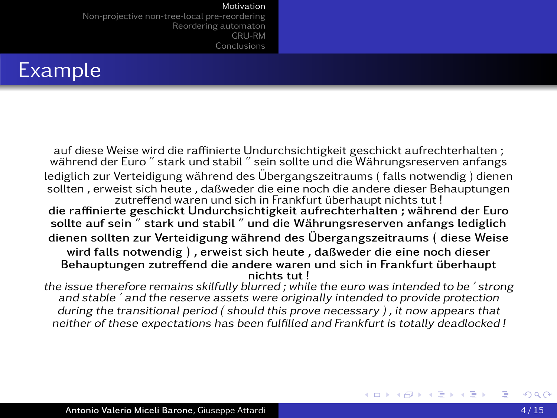[Non-projective non-tree-local pre-reordering](#page-19-0) [Reordering automaton](#page-34-0) [GRU-RM](#page-65-0) [Conclusions](#page-72-0)

## Example

auf diese Weise wird die raffinierte Undurchsichtigkeit geschickt aufrechterhalten ; wahrend der Euro " stark und stabil " sein sollte und die Währungsreserven anfangs während der Euro " stark und stabil " sein sollte und die Währungsreserven anfangs lediglich zur Verteidigung während des Übergangszeitraums (falls notwendig) dienen sollten , erweist sich heute , daßweder die eine noch die andere dieser Behauptungen zutreffend waren und sich in Frankfurt überhaupt nichts tut ! die raffinierte geschickt Undurchsichtigkeit aufrechterhalten ; wahrend der Euro ¨ sollte auf sein " stark und stabil " und die Währungsreserven anfangs lediglich dienen sollten zur Verteidigung während des Übergangszeitraums (diese Weise wird falls notwendig ) , erweist sich heute , daßweder die eine noch dieser Behauptungen zutreffend die andere waren und sich in Frankfurt überhaupt nichts tut !

the issue therefore remains skilfully blurred ; while the euro was intended to be ' strong and stable ' and the reserve assets were originally intended to provide protection during the transitional period ( should this prove necessary ) , it now appears that neither of these expectations has been fulfilled and Frankfurt is totally deadlocked !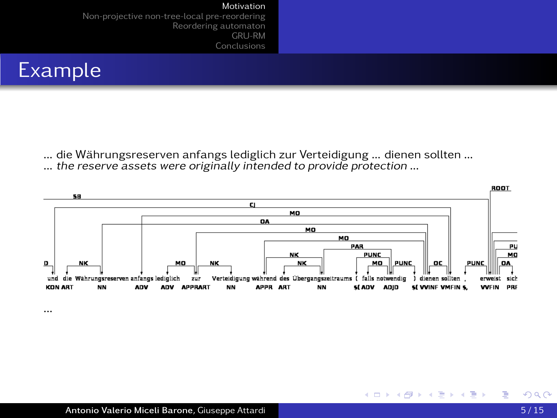[Non-projective non-tree-local pre-reordering](#page-19-0) [Reordering automaton](#page-34-0) [GRU-RM](#page-65-0) [Conclusions](#page-72-0)



... die Währungsreserven anfangs lediglich zur Verteidigung ... dienen sollten ...<br>... the reserve assets were originally intended to provide protection ...



∍  $\sim$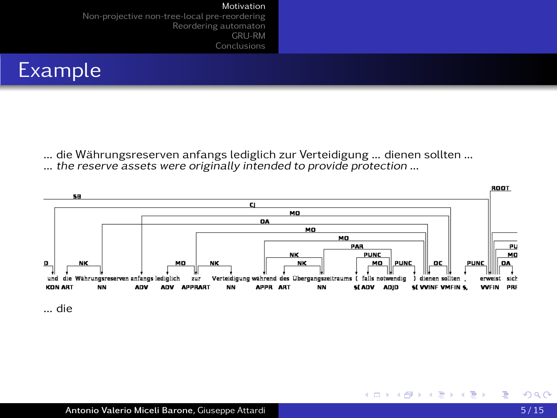[Non-projective non-tree-local pre-reordering](#page-19-0) [Reordering automaton](#page-34-0) [GRU-RM](#page-65-0) [Conclusions](#page-72-0)



... die Währungsreserven anfangs lediglich zur Verteidigung ... dienen sollten ...<br>... the reserve assets were originally intended to provide protection ...



... die

∍  $\sim$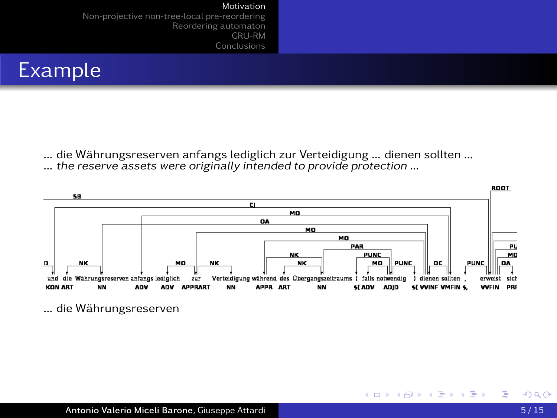[Non-projective non-tree-local pre-reordering](#page-19-0) [Reordering automaton](#page-34-0) [GRU-RM](#page-65-0) [Conclusions](#page-72-0)



... die Währungsreserven anfangs lediglich zur Verteidigung ... dienen sollten ... ... the reserve assets were originally intended to provide protection ...



... die Währungsreserven

∍  $\sim$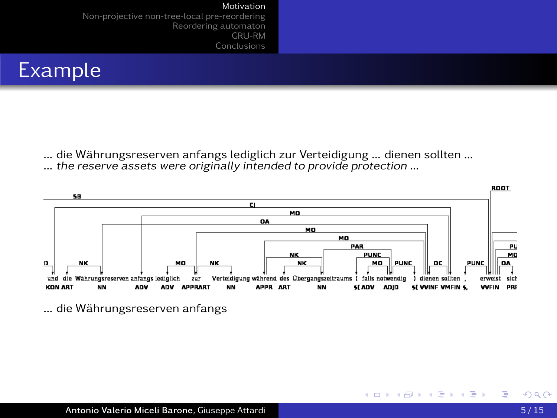[Non-projective non-tree-local pre-reordering](#page-19-0) [Reordering automaton](#page-34-0) [GRU-RM](#page-65-0) [Conclusions](#page-72-0)



... die Währungsreserven anfangs lediglich zur Verteidigung ... dienen sollten ... ... the reserve assets were originally intended to provide protection ...



... die Währungsreserven anfangs

∍  $\sim$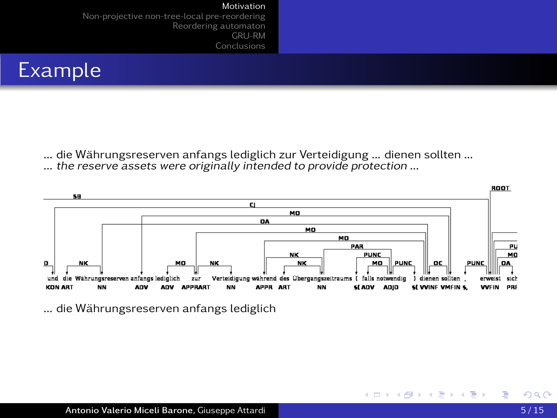[Non-projective non-tree-local pre-reordering](#page-19-0) [Reordering automaton](#page-34-0) [GRU-RM](#page-65-0) [Conclusions](#page-72-0)



... die Währungsreserven anfangs lediglich zur Verteidigung ... dienen sollten ... ... the reserve assets were originally intended to provide protection ...



... die Währungsreserven anfangs lediglich

∍  $\sim$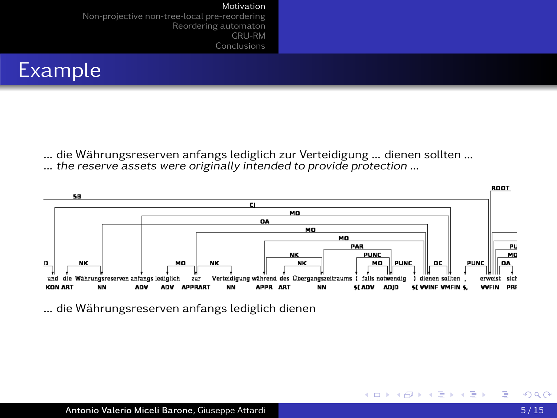[Non-projective non-tree-local pre-reordering](#page-19-0) [Reordering automaton](#page-34-0) [GRU-RM](#page-65-0) [Conclusions](#page-72-0)



... die Währungsreserven anfangs lediglich zur Verteidigung ... dienen sollten ... ... the reserve assets were originally intended to provide protection ...



... die Währungsreserven anfangs lediglich dienen

∍  $\sim$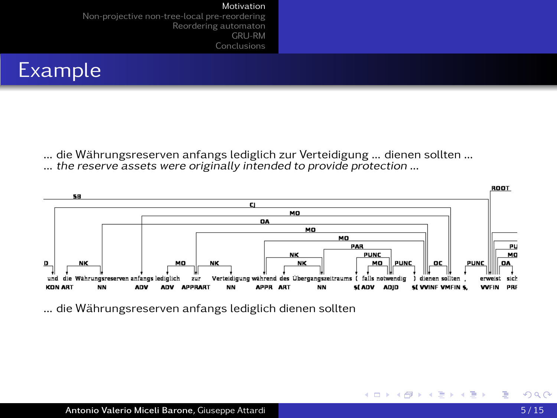[Non-projective non-tree-local pre-reordering](#page-19-0) [Reordering automaton](#page-34-0) [GRU-RM](#page-65-0) [Conclusions](#page-72-0)



... die Wahrungsreserven anfangs lediglich zur Verteidigung ... dienen sollten ... ¨ ... the reserve assets were originally intended to provide protection ...



... die Währungsreserven anfangs lediglich dienen sollten

∍  $\sim$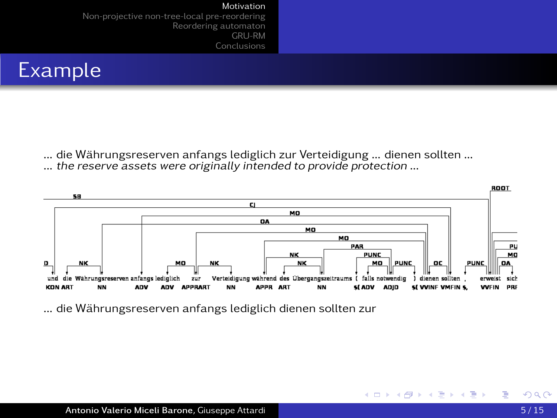[Non-projective non-tree-local pre-reordering](#page-19-0) [Reordering automaton](#page-34-0) [GRU-RM](#page-65-0) [Conclusions](#page-72-0)



... die Wahrungsreserven anfangs lediglich zur Verteidigung ... dienen sollten ... ¨ ... the reserve assets were originally intended to provide protection ...



... die Währungsreserven anfangs lediglich dienen sollten zur

∍  $\sim$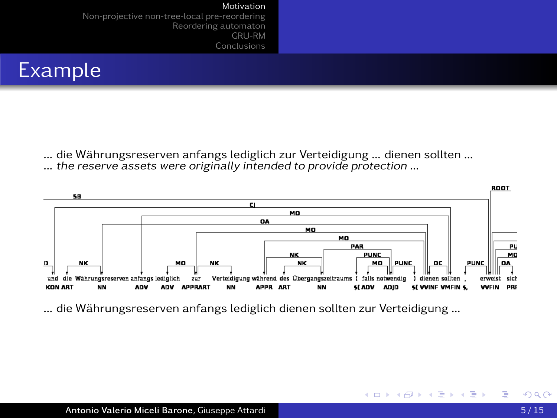[Non-projective non-tree-local pre-reordering](#page-19-0) [Reordering automaton](#page-34-0) [GRU-RM](#page-65-0) [Conclusions](#page-72-0)



... die Wahrungsreserven anfangs lediglich zur Verteidigung ... dienen sollten ... ¨ ... the reserve assets were originally intended to provide protection ...



4 口 ) 4 伺

医间面的间面

... die Währungsreserven anfangs lediglich dienen sollten zur Verteidigung ...

∍  $\sim$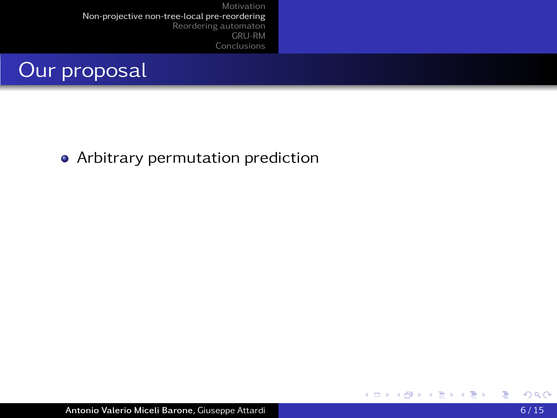

• Arbitrary permutation prediction

<span id="page-19-0"></span>∍  $\rightarrow$ 

**∢ロト ⊀ 御 ト ⊀ 君 ト ⊀ 君**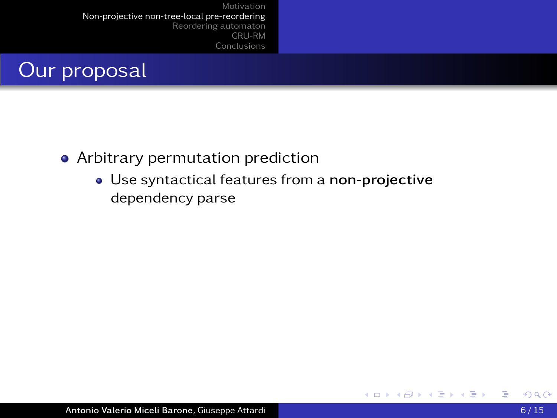

- Arbitrary permutation prediction
	- Use syntactical features from a non-projective dependency parse

4 0 8 4 高

医间面的间面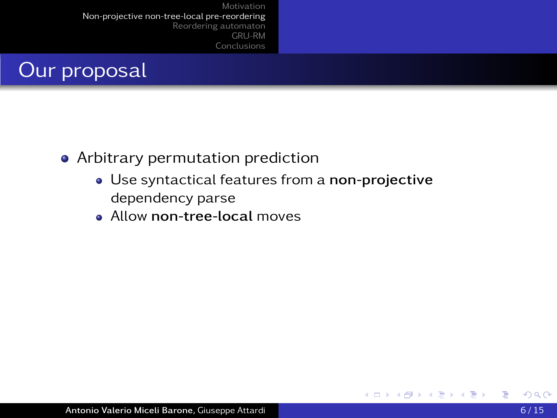

- Arbitrary permutation prediction
	- Use syntactical features from a non-projective dependency parse
	- **Allow non-tree-local moves**

4 0 8 4

化重 网络重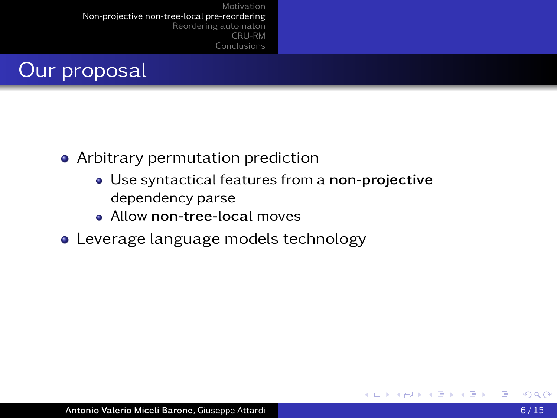

- Arbitrary permutation prediction
	- Use syntactical features from a non-projective dependency parse

4 17 18

- **Allow non-tree-local moves**
- Leverage language models technology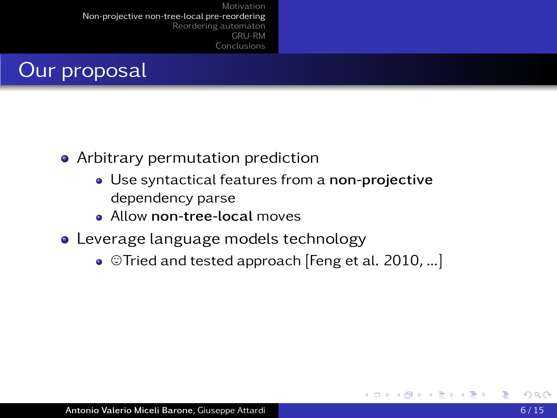

- Arbitrary permutation prediction
	- Use syntactical features from a non-projective dependency parse
	- Allow non-tree-local moves
- Leverage language models technology
	- $\bullet$  ©Tried and tested approach [Feng et al. 2010, ...]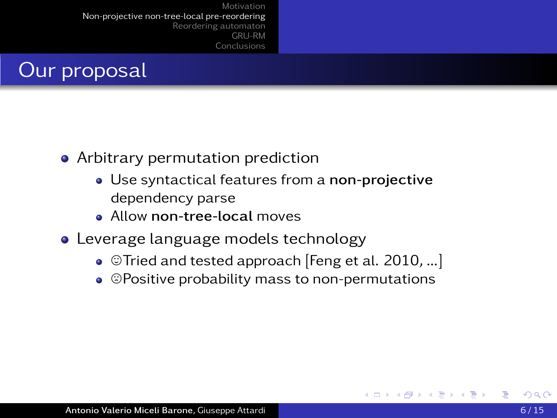

- Arbitrary permutation prediction
	- Use syntactical features from a non-projective dependency parse
	- **Allow non-tree-local moves**
- Leverage language models technology
	- $\bullet$  ©Tried and tested approach [Feng et al. 2010, ...]
	- $\bullet$   $\heartsuit$  Positive probability mass to non-permutations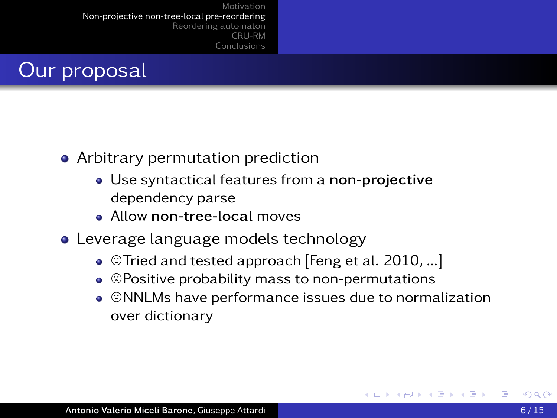

- Arbitrary permutation prediction
	- Use syntactical features from a non-projective dependency parse
	- **Allow non-tree-local moves**
- Leverage language models technology
	- $\bullet$  ©Tried and tested approach [Feng et al. 2010, ...]
	- $\bullet$   $\heartsuit$  Positive probability mass to non-permutations
	- $\bullet$   $\circledcirc$ NNLMs have performance issues due to normalization over dictionary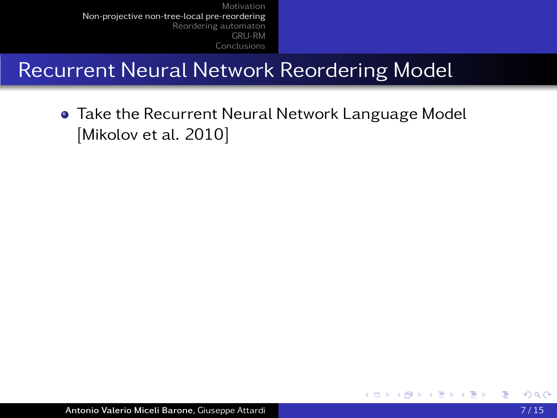## Recurrent Neural Network Reordering Model

**• Take the Recurrent Neural Network Language Model** [Mikolov et al. 2010]

→ 手

4 0 8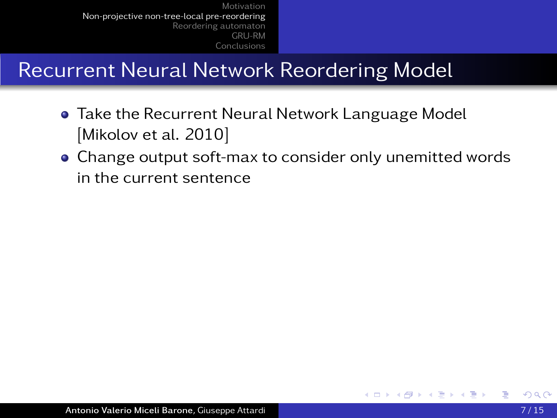- **Take the Recurrent Neural Network Language Model** [Mikolov et al. 2010]
- Change output soft-max to consider only unemitted words in the current sentence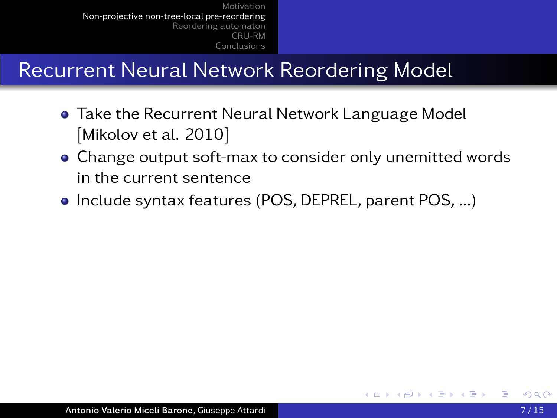- **Take the Recurrent Neural Network Language Model** [Mikolov et al. 2010]
- Change output soft-max to consider only unemitted words in the current sentence
- Include syntax features (POS, DEPREL, parent POS, ...)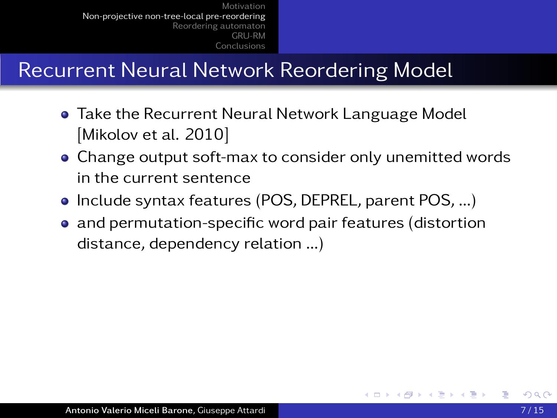- **Take the Recurrent Neural Network Language Model** [Mikolov et al. 2010]
- Change output soft-max to consider only unemitted words in the current sentence
- Include syntax features (POS, DEPREL, parent POS, ...)
- and permutation-specific word pair features (distortion distance, dependency relation ...)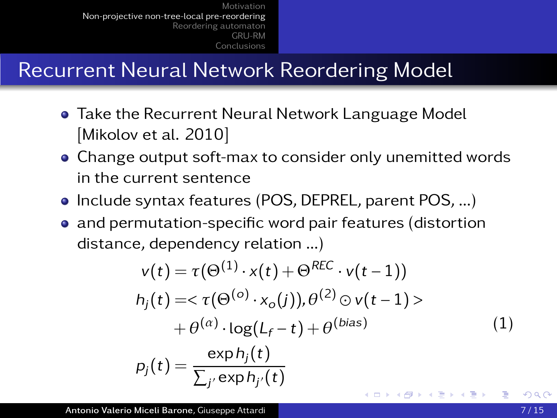- **Take the Recurrent Neural Network Language Model** [Mikolov et al. 2010]
- Change output soft-max to consider only unemitted words in the current sentence
- Include syntax features (POS, DEPREL, parent POS, ...)
- and permutation-specific word pair features (distortion distance, dependency relation ...)

$$
v(t) = \tau(\Theta^{(1)} \cdot x(t) + \Theta^{REC} \cdot v(t-1))
$$
  
\n
$$
h_j(t) = \langle \tau(\Theta^{(o)} \cdot x_o(j)), \theta^{(2)} \odot v(t-1) \rangle
$$
  
\n
$$
+ \theta^{(\alpha)} \cdot \log(L_f - t) + \theta^{(bias)}
$$
  
\n
$$
p_j(t) = \frac{\exp h_j(t)}{\sum_{j'} \exp h_{j'}(t)}
$$
\n(1)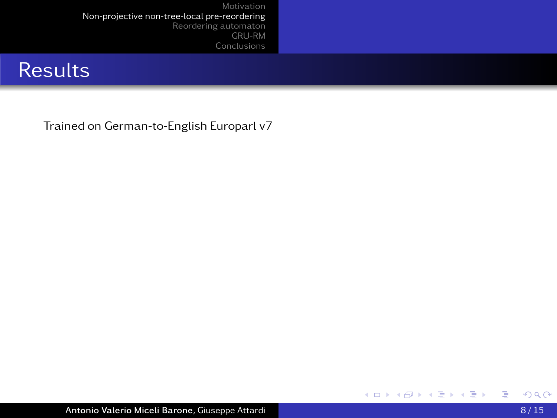### **Results**

Trained on German-to-English Europarl v7

重

メロトメ部 トメミトメミト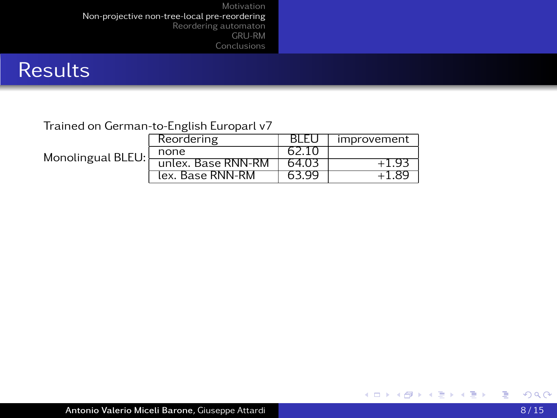### **Results**

### Trained on German-to-English Europarl v7

| Monolingual BLEU: | Reordering         | BLEU  | improvement |  |  |
|-------------------|--------------------|-------|-------------|--|--|
|                   | none               | 62.10 |             |  |  |
|                   | unlex. Base RNN-RM | 64.03 | -1.9        |  |  |
|                   | lex. Base RNN-RM   | 63.99 |             |  |  |

重

メロトメ部 トメミトメミト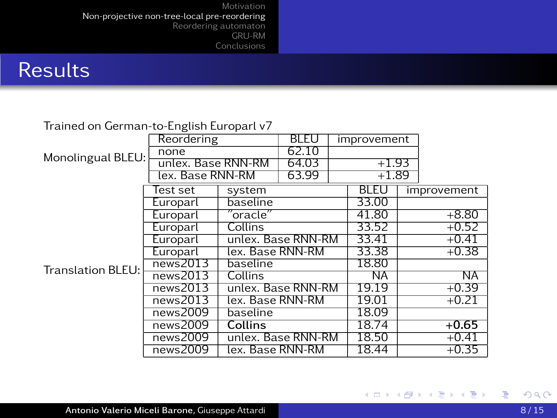### **Results**

### Trained on German-to-English Europarl v7

|                   | Reordering         |                    | <b>BLEU</b> |         | improvement |         |             |
|-------------------|--------------------|--------------------|-------------|---------|-------------|---------|-------------|
| Monolingual BLEU: | none               |                    | 62.10       |         |             |         |             |
|                   | unlex. Base RNN-RM |                    | 64.03       | $+1.93$ |             |         |             |
|                   | lex. Base RNN-RM   |                    | 63.99       |         | $+1.89$     |         |             |
| Translation BLEU: | Test set           | system             |             |         | <b>BLEU</b> |         | improvement |
|                   | Europarl           | baseline           |             |         | 33.00       |         |             |
|                   | Europarl           | ′oracle″           |             |         | 41.80       |         | $+8.80$     |
|                   | Europarl           | Collins            |             |         | 33.52       |         | $+0.52$     |
|                   | Europarl           | unlex. Base RNN-RM |             |         | 33.41       |         | $+0.41$     |
|                   | Europarl           | lex. Base RNN-RM   |             |         | 33.38       |         | $+0.38$     |
|                   | news2013           | baseline           |             |         | 18.80       |         |             |
|                   | news2013           | Collins            |             |         | NA.         |         | NA          |
|                   | news2013           | unlex. Base RNN-RM |             |         | 19.19       |         | $+0.39$     |
|                   | news2013           | lex. Base RNN-RM   |             |         | 19.01       | $+0.21$ |             |
|                   | news2009           | baseline           |             |         | 18.09       |         |             |
|                   | news2009           | <b>Collins</b>     |             |         | 18.74       |         | $+0.65$     |
|                   | news2009           | unlex. Base RNN-RM |             |         | 18.50       |         | $+0.41$     |
|                   | news2009           | lex. Base RNN-RM   |             |         | 18.44       |         | $+0.35$     |

重

メロトメ部 トメミトメミト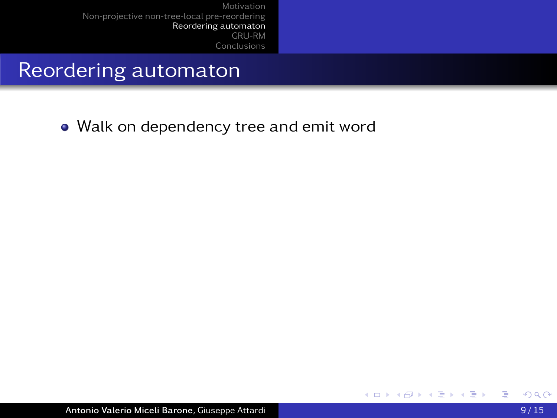### Reordering automaton

• Walk on dependency tree and emit word

<span id="page-34-0"></span>∍

 $\sim$ 

4 0 8 4 石 化重新润滑

**Inches**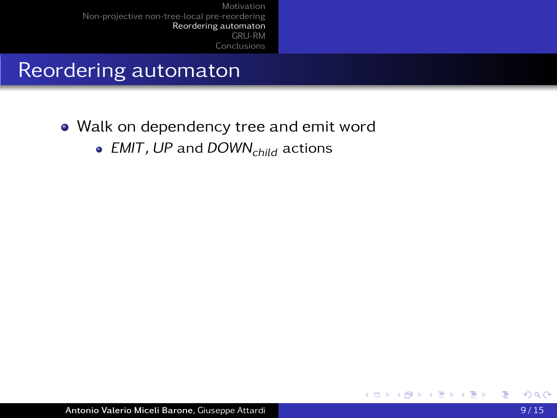### Reordering automaton

- Walk on dependency tree and emit word
	- EMIT, UP and  $DOWN_{child}$  actions

∍

4 0 8

 $\sim$ 

化重 网络重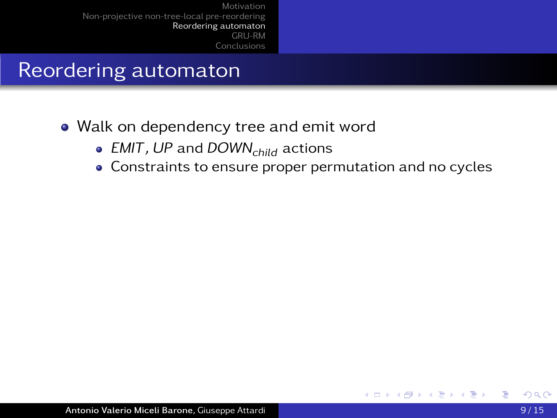#### Reordering automaton

- Walk on dependency tree and emit word
	- EMIT, UP and DOWN<sub>child</sub> actions
	- Constraints to ensure proper permutation and no cycles

4 17 18

(Britis)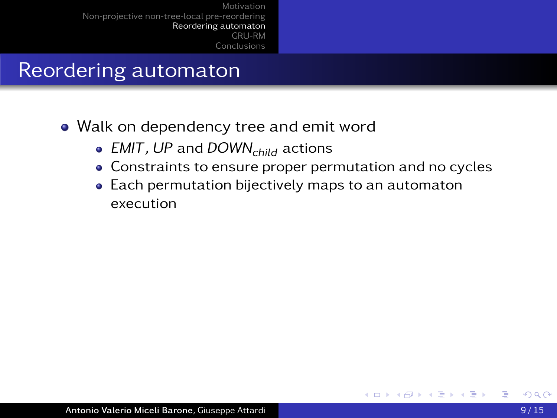- Walk on dependency tree and emit word
	- EMIT, UP and DOWN<sub>child</sub> actions
	- Constraints to ensure proper permutation and no cycles
	- Each permutation bijectively maps to an automaton execution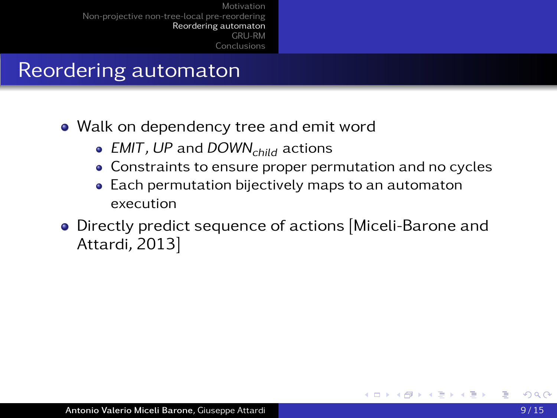- Walk on dependency tree and emit word
	- EMIT, UP and DOWN<sub>child</sub> actions
	- Constraints to ensure proper permutation and no cycles
	- Each permutation bijectively maps to an automaton execution
- Directly predict sequence of actions [Miceli-Barone and Attardi, 2013]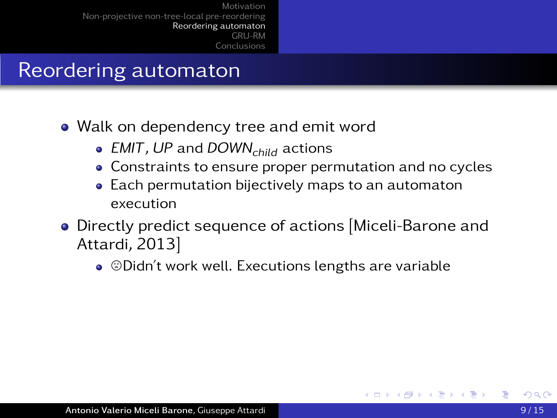- Walk on dependency tree and emit word
	- EMIT, UP and DOWN<sub>child</sub> actions
	- Constraints to ensure proper permutation and no cycles
	- Each permutation bijectively maps to an automaton execution
- Directly predict sequence of actions [Miceli-Barone and Attardi, 2013]
	- $\bullet$   $\odot$ Didn't work well. Executions lengths are variable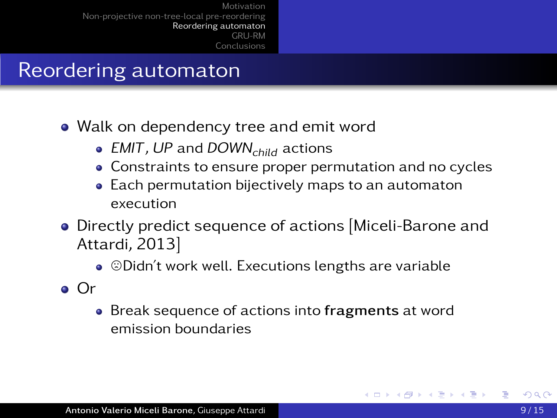- Walk on dependency tree and emit word
	- EMIT, UP and DOWN<sub>child</sub> actions
	- Constraints to ensure proper permutation and no cycles
	- Each permutation bijectively maps to an automaton execution
- Directly predict sequence of actions [Miceli-Barone and Attardi, 2013]
	- $\bullet$   $\odot$ Didn't work well. Executions lengths are variable
- Or
	- Break sequence of actions into fragments at word emission boundaries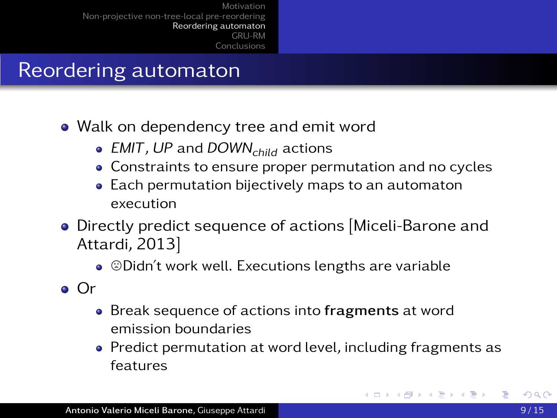- Walk on dependency tree and emit word
	- EMIT, UP and DOWN<sub>child</sub> actions
	- Constraints to ensure proper permutation and no cycles
	- Each permutation bijectively maps to an automaton execution
- Directly predict sequence of actions [Miceli-Barone and Attardi, 2013]
	- $\bullet$   $\odot$ Didn't work well. Executions lengths are variable
- Or
	- Break sequence of actions into fragments at word emission boundaries
	- Predict permutation at word level, including fragments as features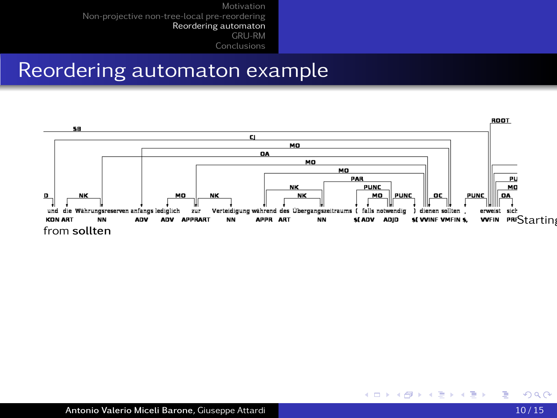#### Reordering automaton example



4 0 8 4 一句

医间面的间面

君  $\sim$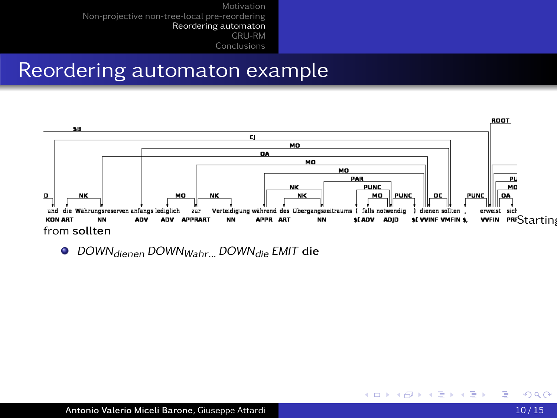#### Reordering automaton example



4 0 8 4 一句

医间面的间面

**O** DOWN<sub>dienen</sub> DOWN<sub>Wahr...</sub> DOWN<sub>die</sub> EMIT die

Ε  $\rightarrow$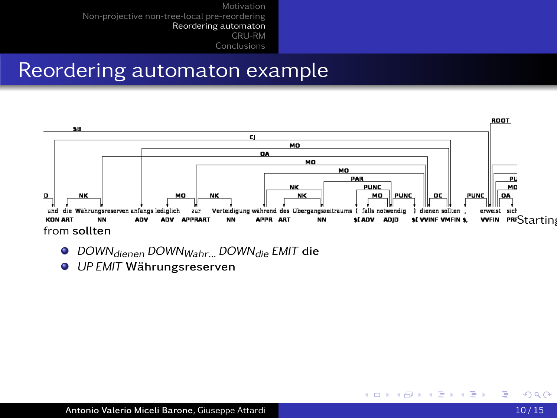#### Reordering automaton example



4 0 8 4 石

医间面的间面

- **O** DOWN<sub>dienen</sub> DOWN<sub>Wahr...</sub> DOWN<sub>die</sub> EMIT die
- O UP EMIT Währungsreserven

э **SIL**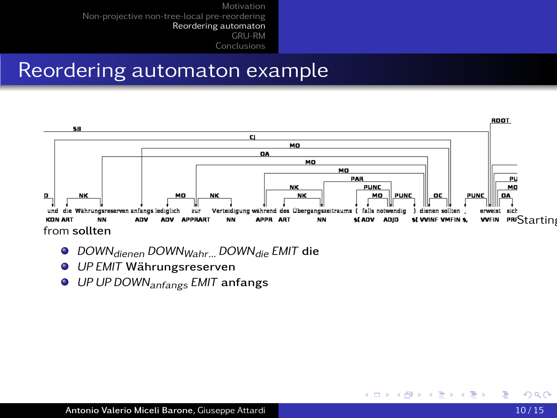#### Reordering automaton example



4 0 8 4 一句

医间面的间面

- **O** DOWN<sub>dienen</sub> DOWN<sub>Wahr...</sub> DOWN<sub>die</sub> EMIT die
- O UP EMIT Währungsreserven
- O UP UP DOWN<sub>anfangs</sub> EMIT anfangs

э  $\rightarrow$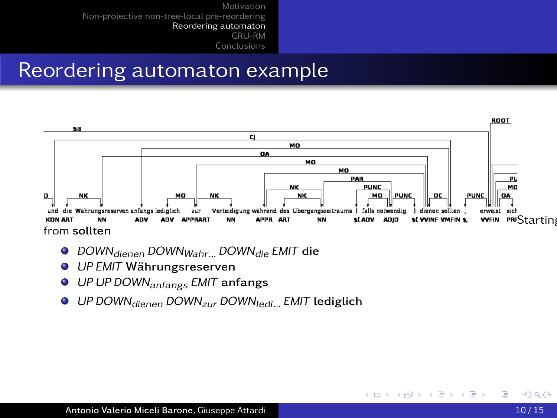#### Reordering automaton example



4 0 8 4 一句

→ イヨ → イヨ →

- **O** DOWN<sub>dienen</sub> DOWN<sub>Wahr...</sub> DOWN<sub>die</sub> EMIT die
- O UP EMIT Währungsreserven
- O UP UP DOWN<sub>anfangs</sub> EMIT anfangs
- **UP DOWN** dienen DOWN<sub>zur</sub> DOWN<sub>ledi</sub> EMIT lediglich

э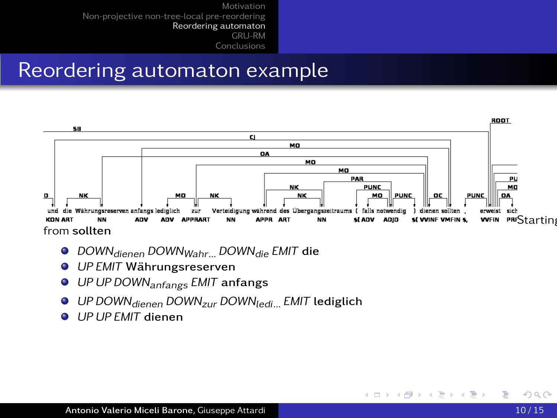#### Reordering automaton example



4 0 8 4

*同* ▶ ( ヨ ) ( ヨ )

- **O** DOWN<sub>dienen</sub> DOWN<sub>Wahr...</sub> DOWN<sub>die</sub> EMIT die
- O UP EMIT Währungsreserven
- O UP UP DOWN<sub>anfangs</sub> EMIT anfangs
- O UP DOWN<sub>dienen</sub> DOWN<sub>zur</sub> DOWN<sub>ledi</sub> EMIT lediglich
- UP UP EMIT dienen

э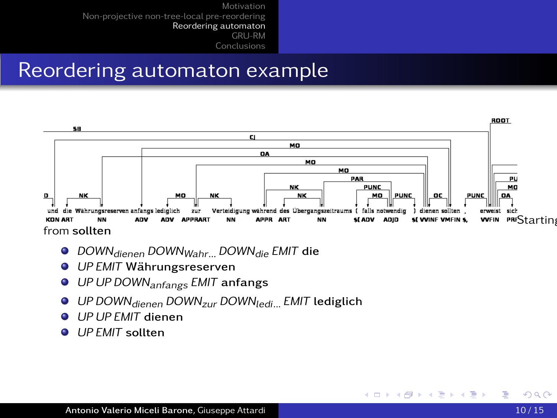#### Reordering automaton example



4 0 8 4

*同* ▶ ( ヨ ) ( ヨ )

- **O** DOWN<sub>dienen</sub> DOWN<sub>Wahr...</sub> DOWN<sub>die</sub> EMIT die
- O UP EMIT Währungsreserven
- O UP UP DOWN<sub>anfangs</sub> EMIT anfangs
- O UP DOWN<sub>dienen</sub> DOWN<sub>zur</sub> DOWN<sub>ledi</sub> EMIT lediglich
- UP UP EMIT dienen
- **O UP FMIT** sollten

重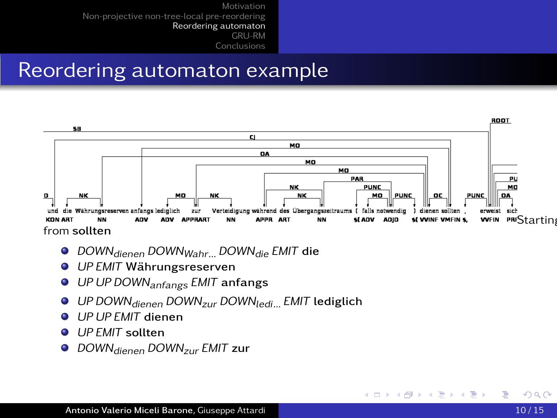#### Reordering automaton example



4 0 8 4

同 ▶ イヨ ▶ イヨ ▶ │

- **O** DOWN<sub>dienen</sub> DOWN<sub>Wahr...</sub> DOWN<sub>die</sub> EMIT die
- O UP EMIT Währungsreserven
- O UP UP DOWN<sub>anfangs</sub> EMIT anfangs
- O UP DOWN<sub>dienen</sub> DOWN<sub>zur</sub> DOWN<sub>ledi...</sub> EMIT lediglich
- UP UP EMIT dienen
- UP EMIT sollten
- O DOWN<sub>dienen</sub> DOWN<sub>zur</sub> EMIT zur

重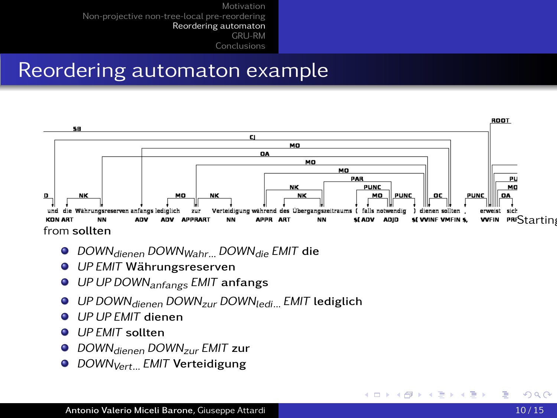#### Reordering automaton example



- **O** DOWN<sub>dienen</sub> DOWN<sub>Wahr...</sub> DOWN<sub>die</sub> EMIT die
- O UP EMIT Währungsreserven
- O UP UP DOWN<sub>anfangs</sub> EMIT anfangs
- O UP DOWN<sub>dienen</sub> DOWN<sub>zur</sub> DOWN<sub>ledi...</sub> EMIT lediglich
- UP UP EMIT dienen
- **O UP FMIT** sollten
- O DOWN<sub>dienen</sub> DOWN<sub>zur</sub> EMIT zur
- **O** DOWN<sub>Vert</sub> EMIT Verteidigung

<span id="page-50-0"></span>重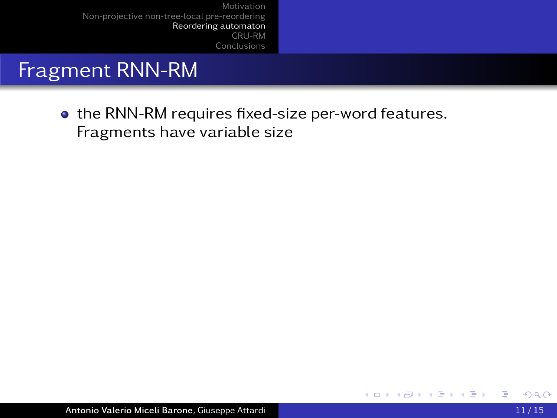#### Fragment RNN-RM

• the RNN-RM requires fixed-size per-word features. Fragments have variable size

<span id="page-51-0"></span>∍

4 0 8 4 高

**Inches**  $\sim$ 

ヨメ モヨ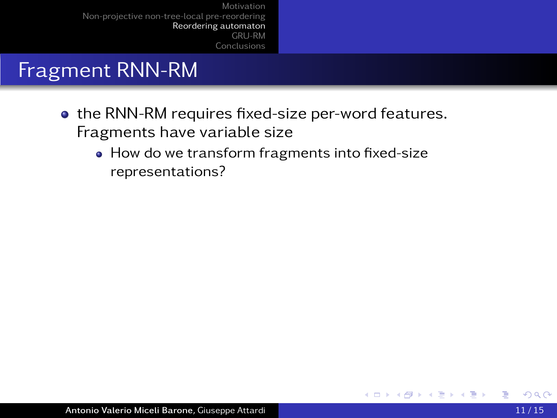### Fragment RNN-RM

- the RNN-RM requires fixed-size per-word features. Fragments have variable size
	- How do we transform fragments into fixed-size representations?

4 0 8

 $\sim$ 

÷. 医间面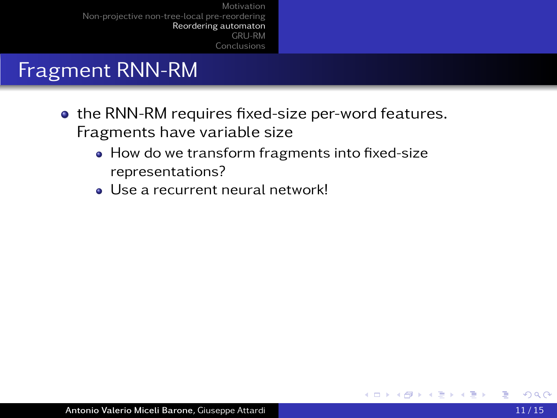### Fragment RNN-RM

- the RNN-RM requires fixed-size per-word features. Fragments have variable size
	- How do we transform fragments into fixed-size representations?
	- Use a recurrent neural network!

- 4 手

4 D F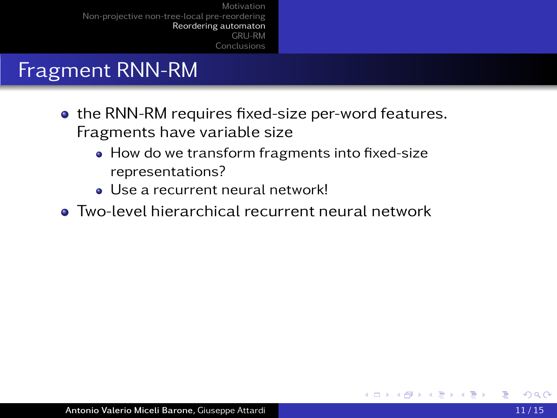## Fragment RNN-RM

- the RNN-RM requires fixed-size per-word features. Fragments have variable size
	- How do we transform fragments into fixed-size representations?
	- Use a recurrent neural network!
- Two-level hierarchical recurrent neural network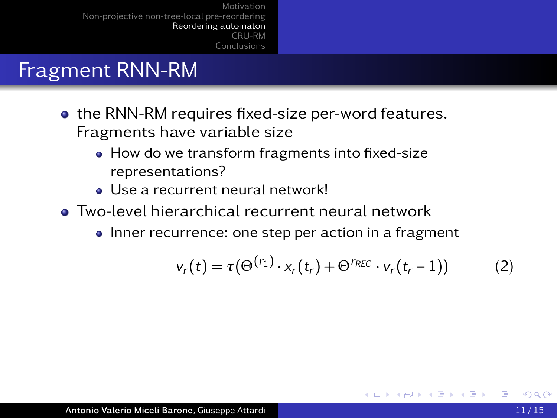## Fragment RNN-RM

- **the RNN-RM requires fixed-size per-word features.** Fragments have variable size
	- How do we transform fragments into fixed-size representations?
	- Use a recurrent neural network!
- Two-level hierarchical recurrent neural network
	- Inner recurrence: one step per action in a fragment

$$
v_r(t) = \tau(\Theta^{(r_1)} \cdot x_r(t_r) + \Theta^{r_{REC}} \cdot v_r(t_r - 1)) \tag{2}
$$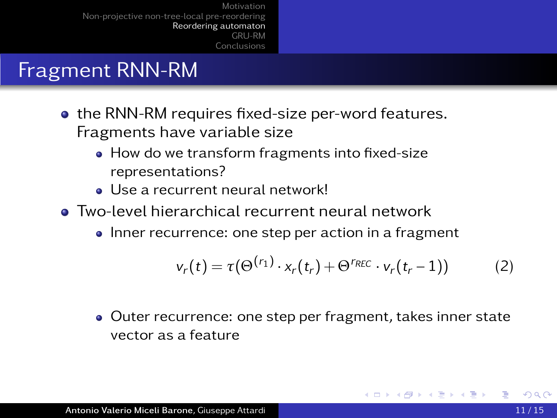## Fragment RNN-RM

- **the RNN-RM requires fixed-size per-word features.** Fragments have variable size
	- How do we transform fragments into fixed-size representations?
	- Use a recurrent neural network!
- **Two-level hierarchical recurrent neural network** 
	- Inner recurrence: one step per action in a fragment

<span id="page-56-0"></span>
$$
v_r(t) = \tau(\Theta^{(r_1)} \cdot x_r(t_r) + \Theta^{r_{REC}} \cdot v_r(t_r - 1)) \tag{2}
$$

Outer recurrence: one step per fragment, takes inner state vector as a feature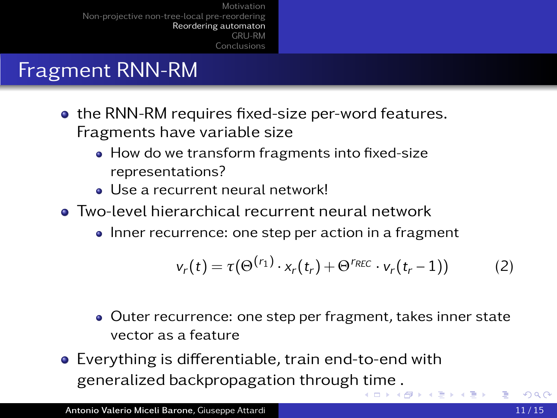## Fragment RNN-RM

- **the RNN-RM requires fixed-size per-word features.** Fragments have variable size
	- How do we transform fragments into fixed-size representations?
	- Use a recurrent neural network!
- **Two-level hierarchical recurrent neural network** 
	- Inner recurrence: one step per action in a fragment

$$
v_r(t) = \tau(\Theta^{(r_1)} \cdot x_r(t_r) + \Theta^{r_{REC}} \cdot v_r(t_r - 1)) \tag{2}
$$

- Outer recurrence: one step per fragment, takes inner state vector as a feature
- Everything is differentiable, train end-to-end with generalized backpropagation through [ti](#page-56-0)[me](#page-58-0)[.](#page-51-0)

<span id="page-57-0"></span>医尿蛋白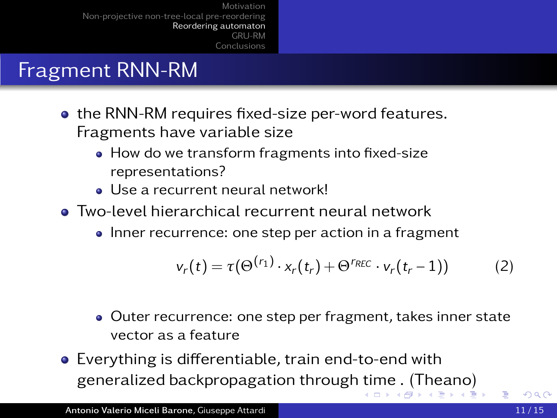## Fragment RNN-RM

- **the RNN-RM requires fixed-size per-word features.** Fragments have variable size
	- How do we transform fragments into fixed-size representations?
	- Use a recurrent neural network!
- **Two-level hierarchical recurrent neural network** 
	- Inner recurrence: one step per action in a fragment

<span id="page-58-0"></span>
$$
v_r(t) = \tau(\Theta^{(r_1)} \cdot x_r(t_r) + \Theta^{r_{REC}} \cdot v_r(t_r - 1)) \tag{2}
$$

- Outer recurrence: one step per fragment, takes inner state vector as a feature
- Everything is differentiable, train end-to-end with generalized backpropagation through [ti](#page-57-0)[me](#page-59-0)[.](#page-51-0) [\(](#page-58-0)[T](#page-59-0)[h](#page-33-0)[e](#page-34-0)[a](#page-64-0)[n](#page-33-0)[o](#page-34-0)[\)](#page-64-0)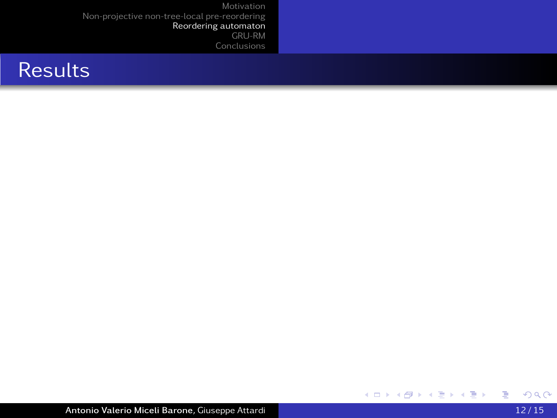

<span id="page-59-0"></span>重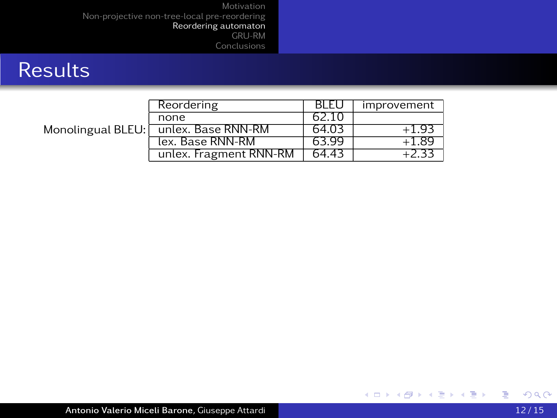### **Results**

|  | Reordering                           | BLEU  | improvement |
|--|--------------------------------------|-------|-------------|
|  | none                                 | 62.10 |             |
|  | Monolingual BLEU: unlex. Base RNN-RM | 64.03 | -193        |
|  | lex. Base RNN-RM                     | 63.99 | 1.89        |
|  | unlex. Fragment RNN-RM               | 64.43 |             |

重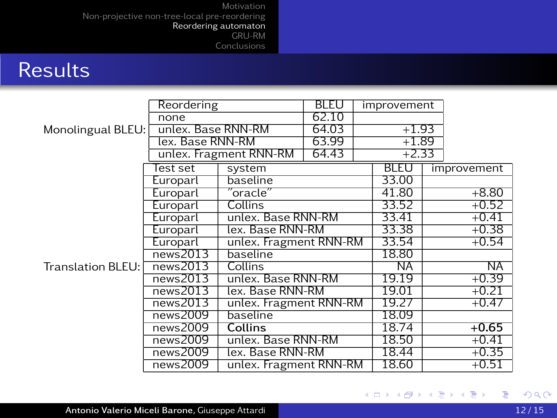## **Results**

|                   | Reordering         |                                            | <b>BLEU</b> | improvement |             |         |             |
|-------------------|--------------------|--------------------------------------------|-------------|-------------|-------------|---------|-------------|
| Monolingual BLEU: | none               |                                            | 62.10       |             |             |         |             |
|                   | unlex. Base RNN-RM |                                            | 64.03       | $+1.93$     |             |         |             |
|                   | lex. Base RNN-RM   |                                            | 63.99       | $+1.89$     |             |         |             |
|                   |                    | unlex. Fragment RNN-RM                     | 64.43       |             | $+2.33$     |         |             |
|                   | Test set           | system                                     |             |             | <b>BLEU</b> |         | improvement |
|                   | Europarl           | baseline                                   |             |             | 33.00       |         |             |
|                   | Europarl           | $^{\prime\prime}$ oracle $^{\prime\prime}$ |             |             | 41.80       |         | $+8.80$     |
|                   | Europarl           | Collins                                    |             |             | 33.52       |         | $+0.52$     |
|                   | Europarl           | unlex. Base RNN-RM                         |             |             | 33.41       | $+0.41$ |             |
|                   | Europarl           | lex. Base RNN-RM                           |             |             | 33.38       |         | $+0.38$     |
|                   | Europarl           | unlex. Fragment RNN-RM                     |             |             | 33.54       |         | $+0.54$     |
|                   | news2013           | baseline                                   |             |             | 18.80       |         |             |
| Translation BLEU: | news2013           | Collins                                    |             |             | ΝĀ          |         | ΝĀ          |
|                   | news2013           | unlex. Base RNN-RM                         |             |             | 19.19       |         | $+0.39$     |
|                   | news2013           | lex. Base RNN-RM                           |             |             | 19.01       |         | $+0.21$     |
|                   | news2013           | unlex. Fragment RNN-RM                     |             |             | 19.27       |         | $+0.47$     |
|                   | news2009           | baseline                                   |             |             | 18.09       |         |             |
|                   | news2009           | Collins                                    |             |             | 18.74       |         | $+0.65$     |
|                   | news2009           | unlex. Base RNN-RM                         |             |             | 18.50       |         | $+0.41$     |
|                   | news2009           | lex. Base RNN-RM                           |             |             | 18.44       |         | $+0.35$     |
|                   | news2009           | unlex. Fragment RNN-RM                     |             |             | 18.60       |         | $+0.51$     |

重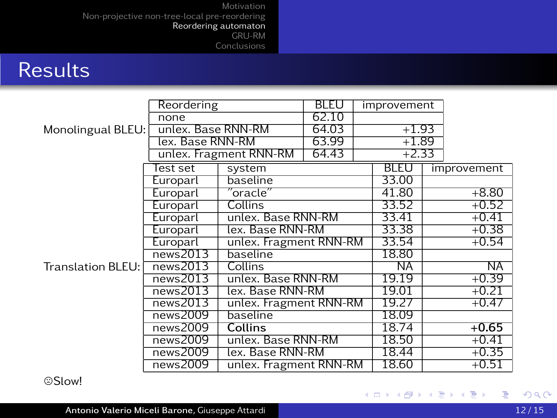## **Results**

|                     | Reordering         |                                            | BI FU | improvement |             |  |             |
|---------------------|--------------------|--------------------------------------------|-------|-------------|-------------|--|-------------|
| Monolingual BLEU:   | none               |                                            | 62.10 |             |             |  |             |
|                     | unlex. Base RNN-RM |                                            | 64.03 | $+1.93$     |             |  |             |
|                     | lex. Base RNN-RM   |                                            | 63.99 | $+1.89$     |             |  |             |
|                     |                    | unlex. Fragment RNN-RM                     | 64.43 | $+2.33$     |             |  |             |
|                     | Test set           | system                                     |       |             | <b>BLEU</b> |  | improvement |
|                     | Europarl           | baseline                                   |       |             | 33.00       |  |             |
|                     | Europarl           | $^{\prime\prime}$ oracle $^{\prime\prime}$ |       |             | 41.80       |  | $+8.80$     |
|                     | Europarl           | Collins                                    |       |             | 33.52       |  | $+0.52$     |
|                     | Europarl           | unlex. Base RNN-RM                         |       |             | 33.41       |  | $+0.41$     |
|                     | Europarl           | lex. Base RNN-RM                           |       |             | 33.38       |  | $+0.38$     |
|                     | Europarl           | unlex. Fragment RNN-RM                     |       |             | 33.54       |  | $+0.54$     |
|                     | news2013           | baseline                                   |       |             | 18.80       |  |             |
| Translation BLEU: [ | news2013           | Collins                                    |       |             | ΝĀ          |  | ΝĀ          |
|                     | news2013           | unlex. Base RNN-RM                         |       |             | 19.19       |  | $+0.39$     |
|                     | news2013           | lex. Base RNN-RM                           |       |             | 19.01       |  | $+0.21$     |
|                     | news2013           | unlex. Fragment RNN-RM                     |       |             | 19.27       |  | $+0.47$     |
|                     | news2009           | baseline                                   |       |             | 18.09       |  |             |
|                     | news2009           | Collins                                    |       |             | 18.74       |  | $+0.65$     |
|                     | news2009           | unlex. Base RNN-RM                         |       |             | 18.50       |  | $+0.41$     |
|                     | news2009           | lex. Base RNN-RM                           |       |             | 18.44       |  | $+0.35$     |
|                     | news2009           | unlex. Fragment RNN-RM                     |       |             | 18.60       |  | $+0.51$     |

/Slow!

重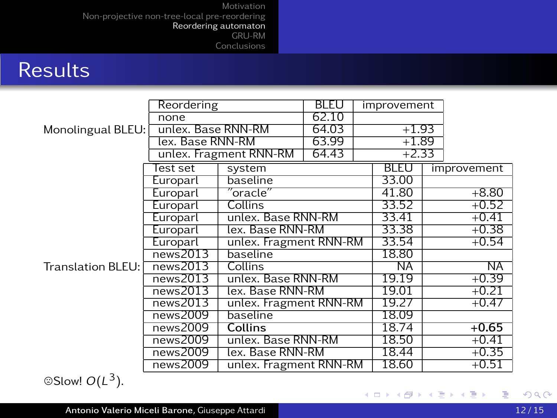### **Results**

|                    | Reordering         |                                            | BLEU  | improvement |             |         |             |
|--------------------|--------------------|--------------------------------------------|-------|-------------|-------------|---------|-------------|
|                    | none               |                                            | 62.10 |             |             |         |             |
| Monolingual BLEU:  | unlex. Base RNN-RM |                                            | 64.03 | $+1.93$     |             |         |             |
|                    | lex. Base RNN-RM   |                                            | 63.99 |             | $+1.89$     |         |             |
|                    |                    | unlex. Fragment RNN-RM                     | 64.43 |             | $+2.33$     |         |             |
|                    | Test set           | system                                     |       |             | <b>BLEU</b> |         | improvement |
|                    | Europarl           | baseline                                   |       |             | 33.00       |         |             |
|                    | Europarl           | $^{\prime\prime}$ oracle $^{\prime\prime}$ |       |             | 41.80       |         | $+8.80$     |
|                    | Europarl           | Collins                                    |       |             | 33.52       |         | $+0.52$     |
|                    | Europarl           | unlex. Base RNN-RM                         |       |             | 33.41       | $+0.41$ |             |
|                    | Europarl           | lex. Base RNN-RM                           |       |             | 33.38       |         | $+0.38$     |
|                    | Europarl           | unlex. Fragment RNN-RM                     |       |             | 33.54       |         | $+0.54$     |
|                    | news2013           | baseline                                   |       |             | 18.80       |         |             |
| Translation BLEU:1 | news2013           | Collins                                    |       |             | ΝA          |         | ΝĀ          |
|                    | news2013           | unlex. Base RNN-RM                         |       |             | 19.19       | $+0.39$ |             |
|                    | news2013           | lex. Base RNN-RM                           |       |             | 19.01       |         | $+0.21$     |
|                    | news2013           | unlex. Fragment RNN-RM                     |       |             | 19.27       |         | $+0.47$     |
|                    | news2009           | baseline                                   |       |             | 18.09       |         |             |
|                    | news2009           | Collins                                    |       |             | 18.74       |         | $+0.65$     |
|                    | news2009           | unlex. Base RNN-RM                         |       |             | 18.50       | $+0.41$ |             |
|                    | news2009           | lex. Base RNN-RM                           |       |             | 18.44       |         | $+0.35$     |
|                    | news2009           | unlex. Fragment RNN-RM                     |       |             | 18.60       |         | +0.51       |

 $\circ$ Slow!  $O(L^3)$ .

<span id="page-63-0"></span>重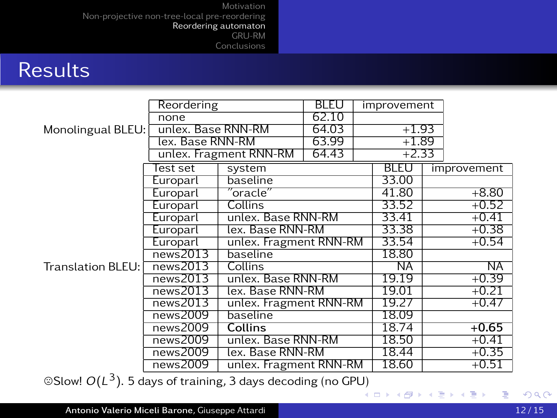#### **Results**

|                     | Reordering         |                                            | BI FU | improvement |             |         |             |
|---------------------|--------------------|--------------------------------------------|-------|-------------|-------------|---------|-------------|
|                     | none               |                                            | 62.10 |             |             |         |             |
| Monolingual BLEU:   | unlex. Base RNN-RM |                                            | 64.03 | $+1.93$     |             |         |             |
|                     | lex. Base RNN-RM   |                                            | 63.99 | $+1.89$     |             |         |             |
|                     |                    | unlex. Fragment RNN-RM                     | 64.43 | $+2.33$     |             |         |             |
|                     | Test set           | system                                     |       |             | <b>BLEU</b> |         | improvement |
|                     | Europarl           | baseline                                   |       |             | 33.00       |         |             |
|                     | Europarl           | $^{\prime\prime}$ oracle $^{\prime\prime}$ |       |             | 41.80       |         | $+8.80$     |
|                     | Europarl           | Collins                                    |       |             | 33.52       |         | $+0.52$     |
|                     | Europarl           | unlex. Base RNN-RM                         |       |             | 33.41       | $+0.41$ |             |
|                     | Europarl           | lex. Base RNN-RM                           |       |             | 33.38       |         | $+0.38$     |
|                     | Europarl           | unlex. Fragment RNN-RM                     |       |             | 33.54       |         | $+0.54$     |
|                     | news2013           | baseline                                   |       |             | 18.80       |         |             |
| Translation BLEU: [ | news2013           | Collins                                    |       |             | ΝĀ          |         | ΝĀ          |
|                     | news2013           | unlex. Base RNN-RM                         |       |             | 19.19       |         | $+0.39$     |
|                     | news2013           | lex. Base RNN-RM                           |       |             | 19.01       |         | $+0.21$     |
|                     | news2013           | unlex. Fragment RNN-RM                     |       |             | 19.27       |         | $+0.47$     |
|                     | news2009           | baseline                                   |       |             | 18.09       |         |             |
|                     | news2009           | <b>Collins</b>                             |       |             | 18.74       |         | $+0.65$     |
|                     | news2009           | unlex. Base RNN-RM                         |       |             | 18.50       |         | $+0.41$     |
|                     | news2009           | lex. Base RNN-RM                           |       |             | 18.44       |         | $+0.35$     |
| -                   | news2009           | unlex. Fragment RNN-RM                     |       |             | 18.60       |         | $+0.51$     |

©Slow!  $O(L^3)$ . 5 days of training, 3 days decoding (no GP[U\)](#page-63-0)

<span id="page-64-0"></span>重

∢ ロ ▶ ∢ 御 ▶ ∢ 唐 ▶ ∢ 唐 ▶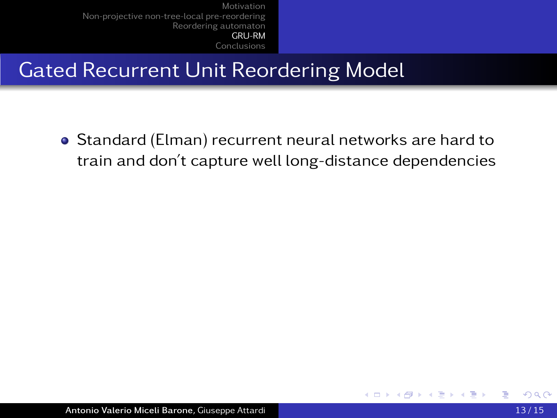# Gated Recurrent Unit Reordering Model

<span id="page-65-0"></span>Standard (Elman) recurrent neural networks are hard to train and don't capture well long-distance dependencies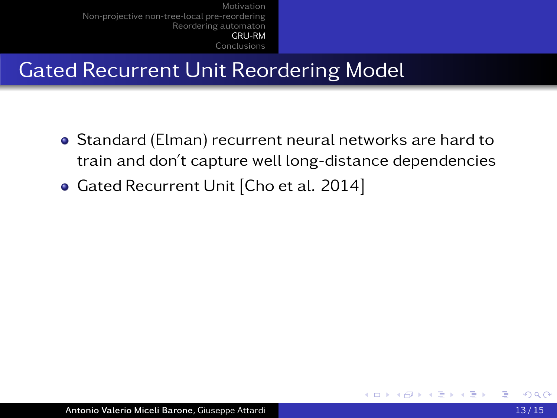# Gated Recurrent Unit Reordering Model

- Standard (Elman) recurrent neural networks are hard to train and don't capture well long-distance dependencies
- Gated Recurrent Unit [Cho et al. 2014]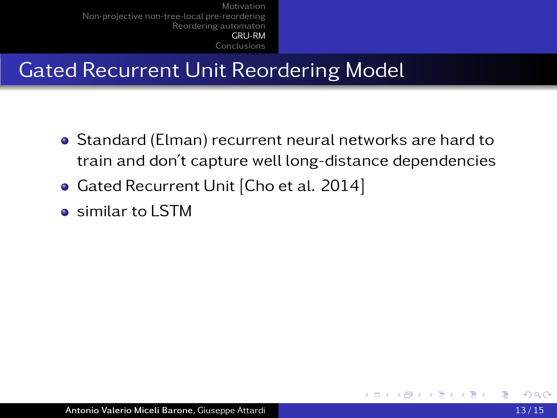# Gated Recurrent Unit Reordering Model

- Standard (Elman) recurrent neural networks are hard to train and don't capture well long-distance dependencies
- **Gated Recurrent Unit [Cho et al. 2014]**
- **e** similar to LSTM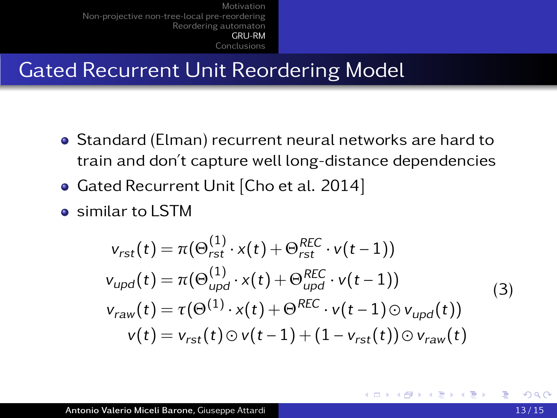# Gated Recurrent Unit Reordering Model

- Standard (Elman) recurrent neural networks are hard to train and don't capture well long-distance dependencies
- **Gated Recurrent Unit [Cho et al. 2014]**
- **e** similar to LSTM

<span id="page-68-0"></span>
$$
v_{rst}(t) = \pi(\Theta_{rst}^{(1)} \cdot x(t) + \Theta_{rst}^{REC} \cdot v(t-1))
$$
  
\n
$$
v_{upd}(t) = \pi(\Theta_{upd}^{(1)} \cdot x(t) + \Theta_{upd}^{REC} \cdot v(t-1))
$$
  
\n
$$
v_{raw}(t) = \tau(\Theta^{(1)} \cdot x(t) + \Theta^{REC} \cdot v(t-1) \odot v_{upd}(t))
$$
  
\n
$$
v(t) = v_{rst}(t) \odot v(t-1) + (1 - v_{rst}(t)) \odot v_{raw}(t)
$$
\n(3)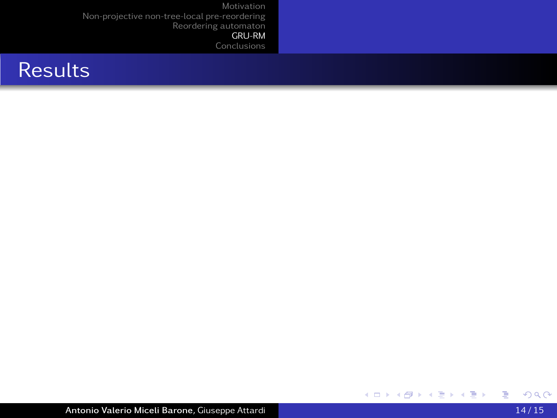### **Results**

<span id="page-69-0"></span>重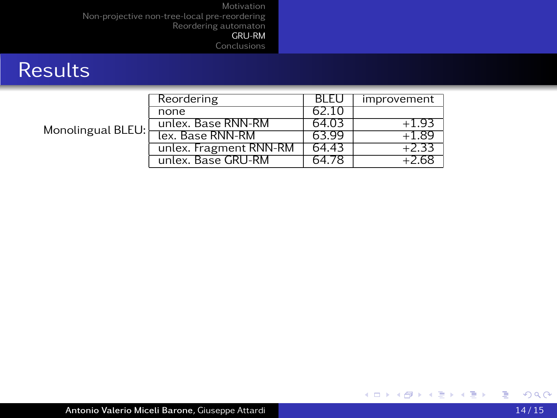### **Results**

| Monolingual BLEU: | Reordering             | BLEU  | improvement |
|-------------------|------------------------|-------|-------------|
|                   | none                   | 62.10 |             |
|                   | unlex. Base RNN-RM     | 64.03 | $+1.93$     |
|                   | lex. Base RNN-RM       | 63.99 | +1.89       |
|                   | unlex. Fragment RNN-RM | 64.43 | 2.3.        |
|                   | unlex. Base GRU-RM     | 64.78 |             |

<span id="page-70-0"></span>重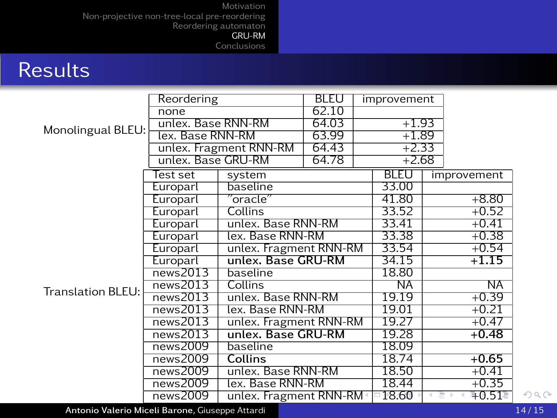[Motivation](#page-1-0)

[Non-projective non-tree-local pre-reordering](#page-19-0) [Reordering automaton](#page-34-0)

[GRU-RM](#page-65-0) [Conclusions](#page-72-0)

## **Results**

|                   | Reordering         |                         | <b>BLEU</b> |  | improvement              |         |                    |
|-------------------|--------------------|-------------------------|-------------|--|--------------------------|---------|--------------------|
|                   | none               |                         | 62.10       |  |                          |         |                    |
|                   | unlex. Base RNN-RM |                         | 64.03       |  | $+1.93$                  |         |                    |
| Monolingual BLEU: | lex. Base RNN-RM   |                         | 63.99       |  | $+1.89$                  |         |                    |
|                   |                    | unlex. Fragment RNN-RM  | 64.43       |  | $+2.33$                  |         |                    |
|                   | unlex. Base GRU-RM |                         | 64.78       |  | $+2.68$                  |         |                    |
|                   | Test set           | system                  |             |  | <b>BLEU</b>              |         | improvement        |
|                   | Europarl           | baseline                |             |  | 33.00                    |         |                    |
|                   | Europarl           | $"$ oracle $"$          |             |  | 41.80                    |         | $+8.80$            |
|                   | Europarl           | Collins                 |             |  | 33.52                    |         | $+0.52$            |
|                   | Europarl           | unlex. Base RNN-RM      |             |  | 33.41                    | $+0.41$ |                    |
|                   | Europarl           | lex. Base RNN-RM        |             |  | 33.38                    | $+0.38$ |                    |
|                   | Europarl           | unlex. Fragment RNN-RM  |             |  | 33.54                    |         | $+0.54$            |
|                   | Europarl           | unlex. Base GRU-RM      |             |  | 34.15                    |         | $+1.15$            |
|                   | news2013           | baseline                |             |  | 18.80                    |         |                    |
| Translation BLEU: | news2013           | Collins                 |             |  | $\overline{\textsf{NA}}$ |         | ΝĀ                 |
|                   | news2013           | unlex. Base RNN-RM      |             |  | 19.19                    |         | $+0.39$            |
|                   | news2013           | lex. Base RNN-RM        |             |  | 19.01                    |         | $+0.21$            |
|                   | news2013           | unlex. Fragment RNN-RM  |             |  | 19.27                    |         | $+0.47$            |
|                   | news2013           | unlex. Base GRU-RM      |             |  | 19.28                    |         | $+0.48$            |
|                   | news2009           | baseline                |             |  | 18.09                    |         |                    |
|                   | news2009           | Collins                 |             |  | 18.74                    |         | $+0.65$            |
|                   | news2009           | unlex. Base RNN-RM      |             |  | 18.50                    |         | $+0.41$            |
|                   | news2009           | lex. Base RNN-RM        |             |  | 18.44                    |         | $+0.35$            |
|                   | news2009           | unlex. Fragment RNN-RM+ |             |  | $-18.60$                 |         | $\overline{+0.51}$ |

<span id="page-71-0"></span>Antonio Valerio Miceli Barone, Giuseppe Attardi unitati unitati unitati unitati unitati unitati di altri 14/15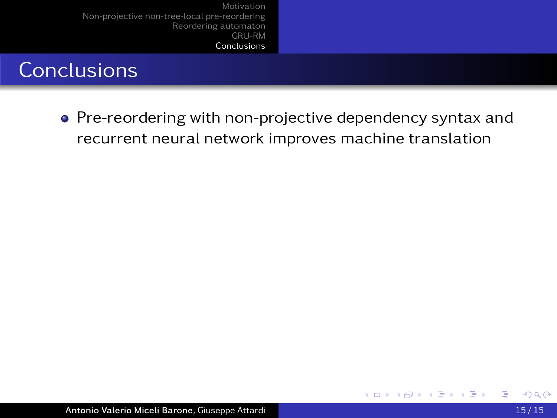## **Conclusions**

• Pre-reordering with non-projective dependency syntax and recurrent neural network improves machine translation

4 0 8

<span id="page-72-0"></span>×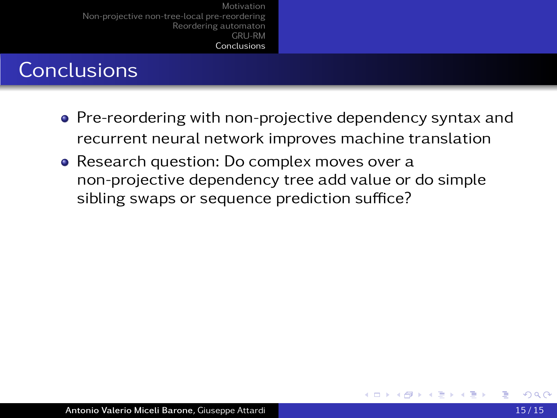- Pre-reordering with non-projective dependency syntax and recurrent neural network improves machine translation
- Research question: Do complex moves over a non-projective dependency tree add value or do simple sibling swaps or sequence prediction suffice?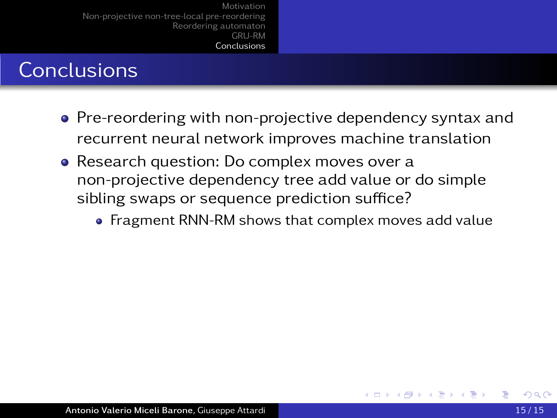- Pre-reordering with non-projective dependency syntax and recurrent neural network improves machine translation
- Research question: Do complex moves over a non-projective dependency tree add value or do simple sibling swaps or sequence prediction suffice?
	- Fragment RNN-RM shows that complex moves add value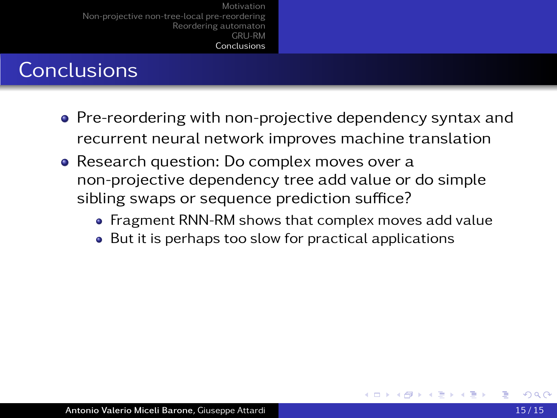- Pre-reordering with non-projective dependency syntax and recurrent neural network improves machine translation
- Research question: Do complex moves over a non-projective dependency tree add value or do simple sibling swaps or sequence prediction suffice?
	- Fragment RNN-RM shows that complex moves add value
	- But it is perhaps too slow for practical applications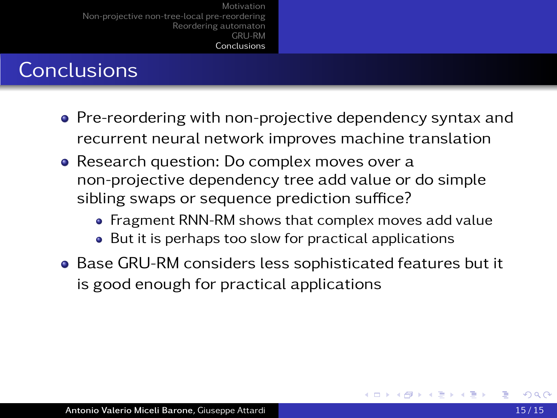- Pre-reordering with non-projective dependency syntax and recurrent neural network improves machine translation
- Research question: Do complex moves over a non-projective dependency tree add value or do simple sibling swaps or sequence prediction suffice?
	- Fragment RNN-RM shows that complex moves add value
	- But it is perhaps too slow for practical applications
- Base GRU-RM considers less sophisticated features but it is good enough for practical applications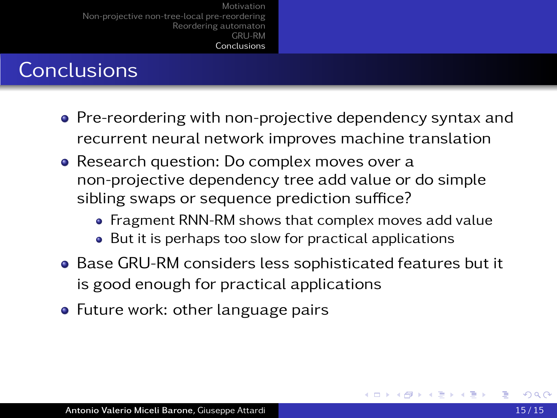- Pre-reordering with non-projective dependency syntax and recurrent neural network improves machine translation
- Research question: Do complex moves over a non-projective dependency tree add value or do simple sibling swaps or sequence prediction suffice?
	- Fragment RNN-RM shows that complex moves add value
	- But it is perhaps too slow for practical applications
- Base GRU-RM considers less sophisticated features but it is good enough for practical applications
- Future work: other language pairs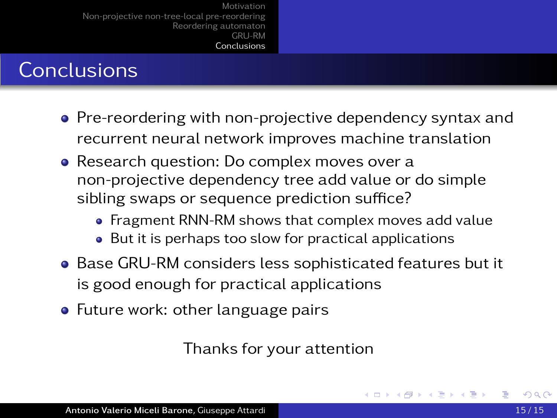# **Conclusions**

- Pre-reordering with non-projective dependency syntax and recurrent neural network improves machine translation
- Research question: Do complex moves over a non-projective dependency tree add value or do simple sibling swaps or sequence prediction suffice?
	- Fragment RNN-RM shows that complex moves add value
	- But it is perhaps too slow for practical applications
- Base GRU-RM considers less sophisticated features but it is good enough for practical applications
- Future work: other language pairs

Thanks for your attention